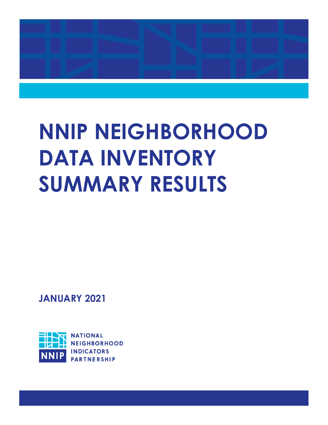

# **NNIP NEIGHBORHOOD DATA INVENTORY SUMMARY RESULTS**

**JANUARY 2021**

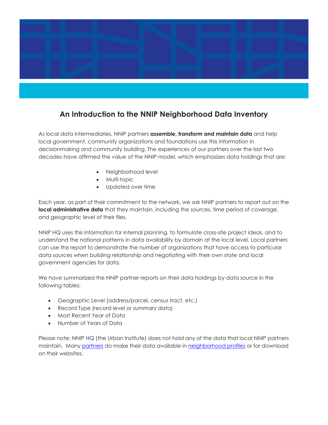

### **An Introduction to the NNIP Neighborhood Data Inventory**

As local data intermediaries, NNIP partners **assemble, transform and maintain data** and help local government, community organizations and foundations use this information in decisionmaking and community building. The experiences of our partners over the last two decades have affirmed the value of the NNIP model, which emphasizes data holdings that are:

- Neighborhood level
- Multi-topic
- Updated over time

Each year, as part of their commitment to the network, we ask NNIP partners to report out on the **local administrative data** that they maintain, including the sources, time period of coverage, and geographic level of their files.

NNIP HQ uses this information for internal planning, to formulate cross-site project ideas, and to understand the national patterns in data availability by domain at the local level. Local partners can use this report to demonstrate the number of organizations that have access to particular data sources when building relationship and negotiating with their own state and local government agencies for data.

We have summarized the NNIP partner reports on their data holdings by data source in the following tables:

- Geographic Level (address/parcel, census tract, etc.)
- Record Type (record level or summary data)
- Most Recent Year of Data
- Number of Years of Data

Please note: NNIP HQ (the Urban Institute) does not hold any of the data that local NNIP partners maintain. Many [partners](http://www.neighborhoodindicators.org/partners/profiles) do make their data available in [neighborhood profiles](http://www.neighborhoodindicators.org/library/catalog/neighborhood-profiles-nnip-web-sites) or for download on their websites.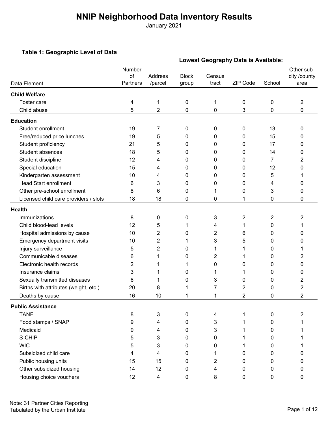January 2021

#### **Table 1: Geographic Level of Data**

| Lowest Geography Data is Available:   |                          |                           |                       |                 |          |           |                                    |  |
|---------------------------------------|--------------------------|---------------------------|-----------------------|-----------------|----------|-----------|------------------------------------|--|
| Data Element                          | Number<br>of<br>Partners | <b>Address</b><br>/parcel | <b>Block</b><br>group | Census<br>tract | ZIP Code | School    | Other sub-<br>city /county<br>area |  |
| <b>Child Welfare</b>                  |                          |                           |                       |                 |          |           |                                    |  |
| Foster care                           | 4                        | 1                         | 0                     | 1               | 0        | $\pmb{0}$ | 2                                  |  |
| Child abuse                           | 5                        | $\overline{2}$            | 0                     | 0               | 3        | 0         | 0                                  |  |
| <b>Education</b>                      |                          |                           |                       |                 |          |           |                                    |  |
| Student enrollment                    | 19                       | 7                         | 0                     | 0               | 0        | 13        | 0                                  |  |
| Free/reduced price lunches            | 19                       | 5                         | 0                     | 0               | 0        | 15        | 0                                  |  |
| Student proficiency                   | 21                       | 5                         | 0                     | 0               | 0        | 17        | 0                                  |  |
| Student absences                      | 18                       | 5                         | 0                     | 0               | 0        | 14        | 0                                  |  |
| Student discipline                    | 12                       | 4                         | 0                     | 0               | 0        | 7         | 2                                  |  |
| Special education                     | 15                       | 4                         | 0                     | 0               | 0        | 12        | 0                                  |  |
| Kindergarten assessment               | 10                       | 4                         | 0                     | 0               | 0        | 5         |                                    |  |
| <b>Head Start enrollment</b>          | 6                        | 3                         | 0                     | 0               | 0        | 4         | 0                                  |  |
| Other pre-school enrollment           | 8                        | 6                         | 0                     | 1               | 0        | 3         | 0                                  |  |
| Licensed child care providers / slots | 18                       | 18                        | 0                     | 0               | 1        | 0         | 0                                  |  |
| <b>Health</b>                         |                          |                           |                       |                 |          |           |                                    |  |
| Immunizations                         | 8                        | 0                         | 0                     | 3               | 2        | 2         | 2                                  |  |
| Child blood-lead levels               | 12                       | 5                         | 1                     | 4               | 1        | 0         | 1                                  |  |
| Hospital admissions by cause          | 10                       | 2                         | 0                     | 2               | 6        | 0         | 0                                  |  |
| Emergency department visits           | 10                       | $\overline{c}$            |                       | 3               | 5        | 0         | 0                                  |  |
| Injury surveillance                   | 5                        | $\overline{2}$            | 0                     | 1               |          | 0         | 1                                  |  |
| Communicable diseases                 | 6                        | 1                         | 0                     | 2               |          | 0         | 2                                  |  |
| Electronic health records             | 2                        | 1                         | 1                     | 0               | 0        | 0         | 0                                  |  |
| Insurance claims                      | 3                        | 1                         | 0                     | 1               |          | 0         | 0                                  |  |
| Sexually transmitted diseases         | 6                        | 1                         | 0                     | 3               | 0        | 0         | 2                                  |  |
| Births with attributes (weight, etc.) | 20                       | 8                         | 1                     | 7               | 2        | 0         | $\overline{c}$                     |  |
| Deaths by cause                       | 16                       | 10                        | 1                     | 1               | 2        | 0         | $\overline{2}$                     |  |
| <b>Public Assistance</b>              |                          |                           |                       |                 |          |           |                                    |  |
| <b>TANF</b>                           | 8                        | 3                         | 0                     | 4               | 1        | $\pmb{0}$ | 2                                  |  |
| Food stamps / SNAP                    | 9                        | 4                         | 0                     | 3               |          | 0         |                                    |  |
| Medicaid                              | 9                        | 4                         | 0                     | 3               |          | 0         |                                    |  |
| S-CHIP                                | 5                        | 3                         | 0                     | 0               | 1        | 0         |                                    |  |
| <b>WIC</b>                            | 5                        | 3                         | 0                     | 0               |          | 0         |                                    |  |
| Subsidized child care                 | 4                        | 4                         | 0                     | 1               | 0        | 0         | 0                                  |  |
| Public housing units                  | 15                       | 15                        | 0                     | 2               | 0        | 0         | 0                                  |  |
| Other subsidized housing              | 14                       | 12                        | 0                     | 4               | 0        | 0         | 0                                  |  |
| Housing choice vouchers               | 12                       | 4                         | 0                     | 8               | 0        | 0         | 0                                  |  |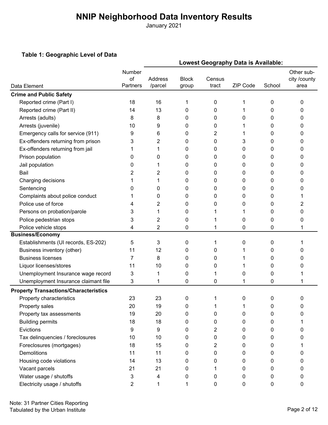January 2021

#### **Table 1: Geographic Level of Data**

|                                              | Lowest Geography Data is Available: |                    |                       |                 |          |        |                                    |  |
|----------------------------------------------|-------------------------------------|--------------------|-----------------------|-----------------|----------|--------|------------------------------------|--|
| Data Element                                 | Number<br>of<br>Partners            | Address<br>/parcel | <b>Block</b><br>group | Census<br>tract | ZIP Code | School | Other sub-<br>city /county<br>area |  |
| <b>Crime and Public Safety</b>               |                                     |                    |                       |                 |          |        |                                    |  |
| Reported crime (Part I)                      | 18                                  | 16                 | 1                     | 0               | 1        | 0      | 0                                  |  |
| Reported crime (Part II)                     | 14                                  | 13                 | 0                     | 0               |          | 0      | 0                                  |  |
| Arrests (adults)                             | 8                                   | 8                  | 0                     | 0               | 0        | 0      | 0                                  |  |
| Arrests (juvenile)                           | 10                                  | 9                  | 0                     | 0               |          | 0      | 0                                  |  |
| Emergency calls for service (911)            | 9                                   | 6                  | 0                     | 2               | 1        | 0      | 0                                  |  |
| Ex-offenders returning from prison           | 3                                   | 2                  | 0                     | 0               | 3        | 0      | 0                                  |  |
| Ex-offenders returning from jail             | 1                                   | 1                  | 0                     | 0               | 0        | 0      | 0                                  |  |
| Prison population                            | 0                                   | 0                  | 0                     | 0               | 0        | 0      | 0                                  |  |
| Jail population                              | 0                                   | 1                  | 0                     | 0               | 0        | 0      | 0                                  |  |
| Bail                                         | 2                                   | 2                  | 0                     | 0               | 0        | 0      | 0                                  |  |
| Charging decisions                           | 1                                   | 1                  | 0                     | 0               | 0        | 0      | 0                                  |  |
| Sentencing                                   | 0                                   | 0                  | 0                     | 0               | 0        | 0      | 0                                  |  |
| Complaints about police conduct              |                                     | 0                  | 0                     | 0               | 0        | 0      |                                    |  |
| Police use of force                          | 4                                   | 2                  | 0                     | 0               | 0        | 0      | 2                                  |  |
| Persons on probation/parole                  | 3                                   | 1                  | 0                     |                 |          | 0      | 0                                  |  |
| Police pedestrian stops                      | 3                                   | 2                  | 0                     |                 | 0        | 0      | 0                                  |  |
| Police vehicle stops                         | 4                                   | 2                  | 0                     | 1               | 0        | 0      |                                    |  |
| <b>Business/Economy</b>                      |                                     |                    |                       |                 |          |        |                                    |  |
| Establishments (UI records, ES-202)          | 5                                   | 3                  | 0                     | 1               | 0        | 0      |                                    |  |
| Business inventory (other)                   | 11                                  | 12                 | 0                     | 0               |          | 0      | 0                                  |  |
| <b>Business licenses</b>                     | 7                                   | 8                  | 0                     | 0               |          | 0      | 0                                  |  |
| Liquor licenses/stores                       | 11                                  | 10                 | 0                     | 0               |          | 0      | O                                  |  |
| Unemployment Insurance wage record           | 3                                   | 1                  | 0                     | 1               | 0        | 0      |                                    |  |
| Unemployment Insurance claimant file         | 3                                   | 1                  | 0                     | 0               | 1        | 0      |                                    |  |
| <b>Property Transactions/Characteristics</b> |                                     |                    |                       |                 |          |        |                                    |  |
| Property characteristics                     | 23                                  | 23                 | 0                     |                 | 0        | 0      | 0                                  |  |
| Property sales                               | 20                                  | 19                 | 0                     | 1               |          | 0      | 0                                  |  |
| Property tax assessments                     | 19                                  | 20                 | 0                     | 0               | 0        | 0      | 0                                  |  |
| <b>Building permits</b>                      | 18                                  | 18                 | 0                     | 0               | 0        | 0      |                                    |  |
| Evictions                                    | 9                                   | 9                  | 0                     | 2               | 0        | 0      | 0                                  |  |
| Tax delinquencies / foreclosures             | 10                                  | 10                 | 0                     | 0               | 0        | 0      | 0                                  |  |
| Foreclosures (mortgages)                     | 18                                  | 15                 | 0                     | 2               | 0        | 0      |                                    |  |
| Demolitions                                  | 11                                  | 11                 | 0                     | 0               | 0        | 0      | 0                                  |  |
| Housing code violations                      | 14                                  | 13                 | 0                     | 0               | 0        | 0      | 0                                  |  |
| Vacant parcels                               | 21                                  | 21                 | 0                     | 1               | 0        | 0      | 0                                  |  |
| Water usage / shutoffs                       | 3                                   | 4                  | 0                     | 0               | 0        | 0      | 0                                  |  |
| Electricity usage / shutoffs                 | 2                                   | 1                  | 1                     | 0               | 0        | 0      | 0                                  |  |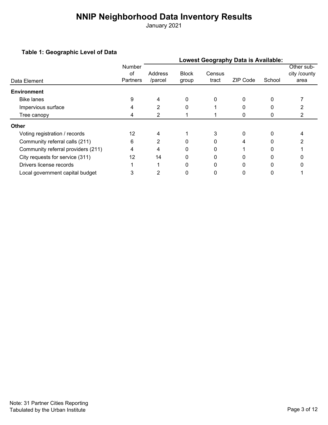January 2021

#### **Table 1: Geographic Level of Data**

| - - - U                            |                                 | <b>Lowest Geography Data is Available:</b> |                       |                 |                 |        |                                    |  |  |  |  |
|------------------------------------|---------------------------------|--------------------------------------------|-----------------------|-----------------|-----------------|--------|------------------------------------|--|--|--|--|
| Data Element                       | Number<br>οf<br><b>Partners</b> | Address<br>/parcel                         | <b>Block</b><br>group | Census<br>tract | <b>ZIP Code</b> | School | Other sub-<br>city /county<br>area |  |  |  |  |
| <b>Environment</b>                 |                                 |                                            |                       |                 |                 |        |                                    |  |  |  |  |
| <b>Bike lanes</b>                  | 9                               | 4                                          | 0                     | 0               | 0               | 0      |                                    |  |  |  |  |
| Impervious surface                 | 4                               | $\overline{2}$                             | 0                     |                 | n               | 0      |                                    |  |  |  |  |
| Tree canopy                        | 4                               | $\overline{2}$                             |                       |                 | 0               | 0      |                                    |  |  |  |  |
| <b>Other</b>                       |                                 |                                            |                       |                 |                 |        |                                    |  |  |  |  |
| Voting registration / records      | 12                              | 4                                          |                       |                 | 0               | 0      |                                    |  |  |  |  |
| Community referral calls (211)     | 6                               | $\overline{2}$                             |                       |                 | 4               |        |                                    |  |  |  |  |
| Community referral providers (211) | 4                               | 4                                          | 0                     | 0               |                 | 0      |                                    |  |  |  |  |
| City requests for service (311)    | 12                              | 14                                         |                       |                 |                 |        |                                    |  |  |  |  |
| Drivers license records            |                                 |                                            | 0                     | 0               |                 | ი      |                                    |  |  |  |  |
| Local government capital budget    | 3                               |                                            |                       |                 |                 | 0      |                                    |  |  |  |  |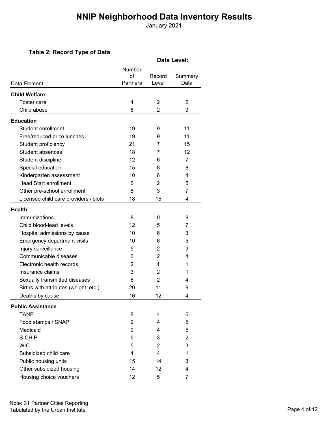January 2021

#### **Table 2: Record Type of Data**

| Table 2: Record Type of Data          |                                  |                 |                 |  |  |  |
|---------------------------------------|----------------------------------|-----------------|-----------------|--|--|--|
|                                       |                                  | Data Level:     |                 |  |  |  |
| Data Element                          | Number<br>$\alpha$ f<br>Partners | Record<br>Level | Summary<br>Data |  |  |  |
|                                       |                                  |                 |                 |  |  |  |
| <b>Child Welfare</b>                  |                                  | 2               |                 |  |  |  |
| Foster care<br>Child abuse            | 4                                |                 | 2<br>3          |  |  |  |
|                                       | 5                                | 2               |                 |  |  |  |
| <b>Education</b>                      |                                  |                 |                 |  |  |  |
| Student enrollment                    | 19                               | 9               | 11              |  |  |  |
| Free/reduced price lunches            | 19                               | 9               | 11              |  |  |  |
| Student proficiency                   | 21                               | 7               | 15              |  |  |  |
| <b>Student absences</b>               | 18                               | 7               | 12              |  |  |  |
| Student discipline                    | 12                               | 6               | 7               |  |  |  |
| Special education                     | 15                               | 8               | 8               |  |  |  |
| Kindergarten assessment               | 10                               | 6               | 4               |  |  |  |
| <b>Head Start enrollment</b>          | 6                                | 2               | 5               |  |  |  |
| Other pre-school enrollment           | 8                                | 3               | 7               |  |  |  |
| Licensed child care providers / slots | 18                               | 15              | 4               |  |  |  |
| <b>Health</b>                         |                                  |                 |                 |  |  |  |
| Immunizations                         | 8                                | 0               | 9               |  |  |  |
| Child blood-lead levels               | 12                               | 5               | 7               |  |  |  |
| Hospital admissions by cause          | 10                               | 6               | 3               |  |  |  |
| Emergency department visits           | 10                               | 6               | 5               |  |  |  |
| Injury surveillance                   | 5                                | 2               | 3               |  |  |  |
| Communicable diseases                 | 6                                | 2               | 4               |  |  |  |
| Electronic health records             | 2                                | 1               | 1               |  |  |  |
| Insurance claims                      | 3                                | 2               | 1               |  |  |  |
| Sexually transmitted diseases         | 6                                | 2               | 4               |  |  |  |
| Births with attributes (weight, etc.) | 20                               | 11              | 9               |  |  |  |
| Deaths by cause                       | 16                               | 12              | 4               |  |  |  |
| <b>Public Assistance</b>              |                                  |                 |                 |  |  |  |
| <b>TANF</b>                           | 8                                | 4               | 6               |  |  |  |
| Food stamps / SNAP                    | 9                                | 4               | 5               |  |  |  |
| Medicaid                              | 9                                | 4               | 5               |  |  |  |
| S-CHIP                                | 5                                | 3               | 2               |  |  |  |
| <b>WIC</b>                            | 5                                | $\overline{2}$  | 3               |  |  |  |
| Subsidized child care                 | 4                                | 4               | 1               |  |  |  |
| Public housing units                  | 15                               | 14              | 3               |  |  |  |
| Other subsidized housing              | 14                               | 12              | 4               |  |  |  |
| Housing choice vouchers               | 12                               | 5               | 7               |  |  |  |
|                                       |                                  |                 |                 |  |  |  |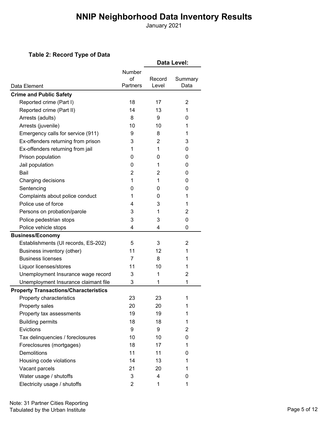January 2021

#### **Table 2: Record Type of Data**

|                                              |                 |        | Data Level: |
|----------------------------------------------|-----------------|--------|-------------|
|                                              | Number<br>of    | Record | Summary     |
| Data Element                                 | <b>Partners</b> | Level  | Data        |
| <b>Crime and Public Safety</b>               |                 |        |             |
| Reported crime (Part I)                      | 18              | 17     | 2           |
| Reported crime (Part II)                     | 14              | 13     | 1           |
| Arrests (adults)                             | 8               | 9      | 0           |
| Arrests (juvenile)                           | 10              | 10     | 1           |
| Emergency calls for service (911)            | 9               | 8      | 1           |
| Ex-offenders returning from prison           | 3               | 2      | 3           |
| Ex-offenders returning from jail             | 1               | 1      | 0           |
| Prison population                            | 0               | 0      | 0           |
| Jail population                              | 0               | 1      | 0           |
| Bail                                         | 2               | 2      | 0           |
| Charging decisions                           | 1               | 1      | 0           |
| Sentencing                                   | 0               | 0      | 0           |
| Complaints about police conduct              | 1               | 0      | 1           |
| Police use of force                          | 4               | 3      | 1           |
| Persons on probation/parole                  | 3               | 1      | 2           |
| Police pedestrian stops                      | 3               | 3      | $\Omega$    |
| Police vehicle stops                         | 4               | 4      | 0           |
| <b>Business/Economy</b>                      |                 |        |             |
| Establishments (UI records, ES-202)          | 5               | 3      | 2           |
| Business inventory (other)                   | 11              | 12     | 1           |
| <b>Business licenses</b>                     | 7               | 8      | 1           |
| Liquor licenses/stores                       | 11              | 10     | 1           |
| Unemployment Insurance wage record           | 3               | 1      | 2           |
| Unemployment Insurance claimant file         | 3               | 1      | 1           |
| <b>Property Transactions/Characteristics</b> |                 |        |             |
| Property characteristics                     | 23              | 23     | 1           |
| Property sales                               | 20              | 20     | 1           |
| Property tax assessments                     | 19              | 19     | 1           |
| <b>Building permits</b>                      | 18              | 18     | 1           |
| Evictions                                    | 9               | 9      | 2           |
| Tax delinquencies / foreclosures             | 10              | 10     | 0           |
| Foreclosures (mortgages)                     | 18              | 17     | 1           |
| <b>Demolitions</b>                           | 11              | 11     | 0           |
| Housing code violations                      | 14              | 13     | 1           |
| Vacant parcels                               | 21              | 20     | 1           |
| Water usage / shutoffs                       | 3               | 4      | 0           |
| Electricity usage / shutoffs                 | $\overline{2}$  | 1      | 1           |
|                                              |                 |        |             |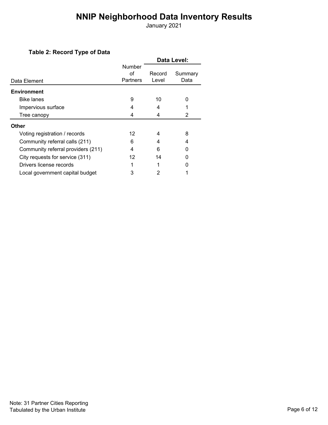January 2021

#### **Table 2: Record Type of Data**

|                                    |                 | Data Level: |         |  |  |  |
|------------------------------------|-----------------|-------------|---------|--|--|--|
|                                    | Number          |             |         |  |  |  |
|                                    | οf              | Record      | Summary |  |  |  |
| Data Element                       | <b>Partners</b> | Level       | Data    |  |  |  |
| <b>Environment</b>                 |                 |             |         |  |  |  |
| <b>Bike lanes</b>                  | 9               | 10          | ი       |  |  |  |
| Impervious surface                 |                 | 4           |         |  |  |  |
| Tree canopy                        | 4               | 4           | 2       |  |  |  |
| <b>Other</b>                       |                 |             |         |  |  |  |
| Voting registration / records      | 12              | 4           | 8       |  |  |  |
| Community referral calls (211)     | 6               | 4           | 4       |  |  |  |
| Community referral providers (211) | 4               | 6           |         |  |  |  |
| City requests for service (311)    | 12              | 14          |         |  |  |  |
| Drivers license records            |                 |             |         |  |  |  |
| Local government capital budget    | 3               | 2           |         |  |  |  |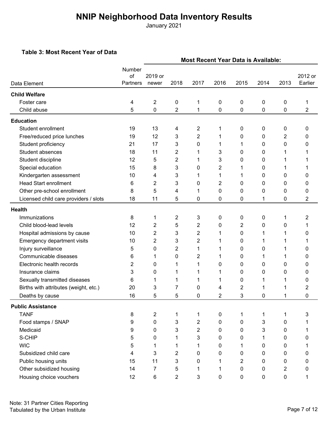January 2021

#### **Table 3: Most Recent Year of Data**

|                                       |                          | <b>Most Recent Year Data is Available:</b> |                |                |                |      |      |                |                    |  |
|---------------------------------------|--------------------------|--------------------------------------------|----------------|----------------|----------------|------|------|----------------|--------------------|--|
| Data Element                          | Number<br>of<br>Partners | 2019 or<br>newer                           | 2018           | 2017           | 2016           | 2015 | 2014 | 2013           | 2012 or<br>Earlier |  |
| <b>Child Welfare</b>                  |                          |                                            |                |                |                |      |      |                |                    |  |
| Foster care                           | 4                        | $\overline{2}$                             | 0              | 1              | 0              | 0    | 0    | 0              | 1                  |  |
| Child abuse                           | 5                        | 0                                          | $\overline{2}$ | 1              | 0              | 0    | 0    | 0              | 2                  |  |
| <b>Education</b>                      |                          |                                            |                |                |                |      |      |                |                    |  |
| Student enrollment                    | 19                       | 13                                         | 4              | 2              | 1              | 0    | 0    | 0              | 0                  |  |
| Free/reduced price lunches            | 19                       | 12                                         | 3              | $\overline{2}$ | 1              | 0    | 0    | $\overline{2}$ | 0                  |  |
| Student proficiency                   | 21                       | 17                                         | 3              | 0              | 1              | 1    | 0    | 0              | 0                  |  |
| Student absences                      | 18                       | 11                                         | 2              | 1              | 3              | 0    | 0    | 1              |                    |  |
| Student discipline                    | 12                       | 5                                          | 2              | 1              | 3              | 0    | 0    | 1              |                    |  |
| Special education                     | 15                       | 8                                          | 3              | 0              | $\overline{2}$ | 1    | 0    | 1              |                    |  |
| Kindergarten assessment               | 10                       | 4                                          | 3              | 1              | 1              | 1    | 0    | 0              | 0                  |  |
| <b>Head Start enrollment</b>          | 6                        | $\overline{2}$                             | 3              | 0              | 2              | 0    | 0    | 0              | 0                  |  |
| Other pre-school enrollment           | 8                        | 5                                          | 4              |                | 0              | 0    | 0    | 0              | 0                  |  |
| Licensed child care providers / slots | 18                       | 11                                         | 5              | 0              | 0              | 0    | 1    | 0              | $\overline{2}$     |  |
| <b>Health</b>                         |                          |                                            |                |                |                |      |      |                |                    |  |
| Immunizations                         | 8                        | 1                                          | 2              | 3              | 0              | 0    | 0    | 1              | 2                  |  |
| Child blood-lead levels               | 12                       | $\overline{2}$                             | 5              | 2              | 0              | 2    | 0    | 0              | 1                  |  |
| Hospital admissions by cause          | 10                       | $\overline{2}$                             | 3              | 2              | 1              | 0    | 1    | 1              | 0                  |  |
| Emergency department visits           | 10                       | $\overline{2}$                             | 3              | $\overline{2}$ | 1              | 0    | 1    |                |                    |  |
| Injury surveillance                   | 5                        | 0                                          | 2              | 1              | 1              | 0    | 0    | 1              | 0                  |  |
| Communicable diseases                 | 6                        | 1                                          | 0              | $\overline{2}$ | 1              | 0    | 1    | 1              | 0                  |  |
| Electronic health records             | 2                        | 0                                          | 1              | 1              | 0              | 0    | 0    | 0              | 0                  |  |
| Insurance claims                      | 3                        | 0                                          | 1              | 1              | 1              | 0    | 0    | 0              | 0                  |  |
| Sexually transmitted diseases         | 6                        | 1                                          | 1              | 1              | 1              | 0    | 1    | 1              | 0                  |  |
| Births with attributes (weight, etc.) | 20                       | 3                                          | 7              | 0              | 4              | 2    | 1    |                | 2                  |  |
| Deaths by cause                       | 16                       | 5                                          | 5              | 0              | $\overline{2}$ | 3    | 0    |                | 0                  |  |
| <b>Public Assistance</b>              |                          |                                            |                |                |                |      |      |                |                    |  |
| <b>TANF</b>                           | 8                        | $\overline{2}$                             | $\mathbf 1$    | $\mathbf 1$    | 0              | 1    | 1    | 1              | 3                  |  |
| Food stamps / SNAP                    | 9                        | 0                                          | 3              | 2              | 0              | 0    | 3    | 0              | 1                  |  |
| Medicaid                              | 9                        | 0                                          | 3              | $\overline{2}$ | 0              | 0    | 3    | 0              | 1                  |  |
| S-CHIP                                | 5                        | 0                                          | 1              | 3              | 0              | 0    | 1    | $\mathbf 0$    | 0                  |  |
| <b>WIC</b>                            | 5                        | 1                                          | 1              | 1              | 0              | 1    | 0    | 0              |                    |  |
| Subsidized child care                 | 4                        | $\mathbf{3}$                               | $\overline{2}$ | 0              | 0              | 0    | 0    | 0              | 0                  |  |
| Public housing units                  | 15                       | 11                                         | 3              | $\Omega$       | 1              | 2    | 0    | 0              | 0                  |  |
| Other subsidized housing              | 14                       | $\overline{7}$                             | 5              | 1              | 1              | 0    | 0    | 2              | 0                  |  |
| Housing choice vouchers               | 12                       | 6                                          | 2              | 3              | 0              | 0    | 0    | 0              |                    |  |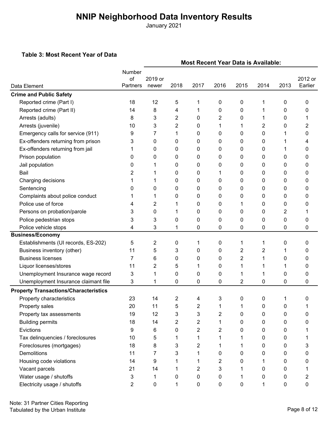January 2021

#### **Table 3: Most Recent Year of Data**

|                                              | <b>Most Recent Year Data is Available:</b> |         |      |      |      |                |                |             |         |
|----------------------------------------------|--------------------------------------------|---------|------|------|------|----------------|----------------|-------------|---------|
|                                              | Number                                     |         |      |      |      |                |                |             |         |
|                                              | of                                         | 2019 or |      |      |      |                |                |             | 2012 or |
| Data Element                                 | Partners                                   | newer   | 2018 | 2017 | 2016 | 2015           | 2014           | 2013        | Earlier |
| <b>Crime and Public Safety</b>               |                                            |         |      |      |      |                |                |             |         |
| Reported crime (Part I)                      | 18                                         | 12      | 5    | 1    | 0    | 0              | 1              | 0           | 0       |
| Reported crime (Part II)                     | 14                                         | 8       | 4    | 1    | 0    | 0              | 1              | 0           | 0       |
| Arrests (adults)                             | 8                                          | 3       | 2    | 0    | 2    | 0              | 1              | 0           | 1       |
| Arrests (juvenile)                           | 10                                         | 3       | 2    | 0    | 1    | 1              | 2              | 0           | 2       |
| Emergency calls for service (911)            | 9                                          | 7       | 1    | 0    | 0    | 0              | 0              | 1           | 0       |
| Ex-offenders returning from prison           | 3                                          | 0       | 0    | 0    | 0    | 0              | 0              |             | 4       |
| Ex-offenders returning from jail             |                                            | 0       | 0    | 0    | 0    | 0              | 0              | 1           | 0       |
| Prison population                            | 0                                          | 0       | 0    | 0    | 0    | 0              | 0              | 0           | 0       |
| Jail population                              | 0                                          | 1       | 0    | 0    | 0    | 0              | 0              | 0           | 0       |
| Bail                                         | 2                                          | 1       | 0    | 0    | 1    | 0              | 0              | 0           | 0       |
| Charging decisions                           | 1                                          | 1       | 0    | 0    | 0    | 0              | 0              | 0           | 0       |
| Sentencing                                   | 0                                          | 0       | 0    | 0    | 0    | 0              | 0              | 0           | 0       |
| Complaints about police conduct              |                                            | 1       | 0    | 0    | 0    | 0              | 0              | 0           | 0       |
| Police use of force                          | 4                                          | 2       | 1    | 0    | 0    | 1              | 0              | 0           | 0       |
| Persons on probation/parole                  | 3                                          | 0       | 1    | 0    | 0    | 0              | 0              | 2           |         |
| Police pedestrian stops                      | 3                                          | 3       | 0    | 0    | 0    | 0              | 0              | 0           | 0       |
| Police vehicle stops                         | 4                                          | 3       | 1    | 0    | 0    | 0              | $\mathbf 0$    | 0           | 0       |
| <b>Business/Economy</b>                      |                                            |         |      |      |      |                |                |             |         |
| Establishments (UI records, ES-202)          | 5                                          | 2       | 0    | 1    | 0    | 1              | 1              | 0           | 0       |
| Business inventory (other)                   | 11                                         | 5       | 3    | 0    | 0    | $\overline{c}$ | $\overline{2}$ | 1           | 0       |
| <b>Business licenses</b>                     | 7                                          | 6       | 0    | 0    | 0    | $\overline{c}$ | 1              | 0           | 0       |
| Liquor licenses/stores                       | 11                                         | 2       | 5    | 1    | 0    | 1              | 1              | 1           | 0       |
| Unemployment Insurance wage record           | 3                                          | 1       | 0    | 0    | 0    | 1              | 1              | 0           | 0       |
| Unemployment Insurance claimant file         | 3                                          | 1       | 0    | 0    | 0    | 2              | 0              | 0           | 0       |
| <b>Property Transactions/Characteristics</b> |                                            |         |      |      |      |                |                |             |         |
| Property characteristics                     | 23                                         | 14      | 2    | Δ    | 3    | 0              | 0              | 1           | n       |
| Property sales                               | 20                                         | 11      | 5    | 2    | 1    | 1              | 0              | 0           |         |
| Property tax assessments                     | 19                                         | 12      | 3    | 3    | 2    | 0              | 0              | 0           | 0       |
| <b>Building permits</b>                      | 18                                         | 14      | 2    | 2    | 1    | 0              | 0              | 0           | 0       |
| Evictions                                    | 9                                          | 6       | 0    | 2    | 2    | 0              | 0              | 0           |         |
| Tax delinquencies / foreclosures             | 10                                         | 5       | 1    | 1    | 1    | 1              | 0              | 0           |         |
| Foreclosures (mortgages)                     | 18                                         | 8       | 3    | 2    | 1    | 1              | 0              | 0           | 3       |
| Demolitions                                  | 11                                         | 7       | 3    | 1    | 0    | 0              | 0              | 0           | 0       |
| Housing code violations                      | 14                                         | 9       | 1    | 1    | 2    | 0              | 1              | 0           | 0       |
| Vacant parcels                               | 21                                         | 14      | 1    | 2    | 3    |                | 0              | 0           | 1       |
| Water usage / shutoffs                       | 3                                          | 1       | 0    | 0    | 0    | 1              | 0              | 0           | 2       |
| Electricity usage / shutoffs                 | 2                                          | 0       | 1    | 0    | 0    | 0              | 1              | $\mathbf 0$ | 0       |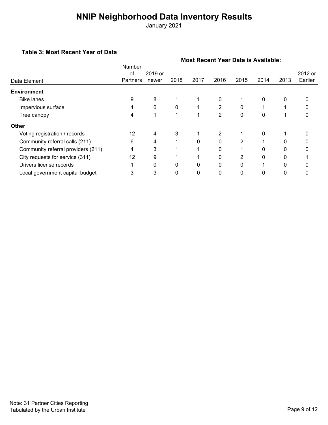January 2021

#### **Table 3: Most Recent Year of Data**

|                                    |                                        | <b>Most Recent Year Data is Available:</b> |      |          |                |      |          |              |                    |  |
|------------------------------------|----------------------------------------|--------------------------------------------|------|----------|----------------|------|----------|--------------|--------------------|--|
| Data Element                       | <b>Number</b><br>of<br><b>Partners</b> | 2019 or<br>newer                           | 2018 | 2017     | 2016           | 2015 | 2014     | 2013         | 2012 or<br>Earlier |  |
| <b>Environment</b>                 |                                        |                                            |      |          |                |      |          |              |                    |  |
| <b>Bike lanes</b>                  | 9                                      | 8                                          |      |          | 0              |      | 0        | $\mathbf{0}$ | 0                  |  |
| Impervious surface                 |                                        | 0                                          | 0    |          | 2              | 0    |          |              |                    |  |
| Tree canopy                        | 4                                      |                                            |      |          | 2              | 0    | 0        |              | 0                  |  |
| <b>Other</b>                       |                                        |                                            |      |          |                |      |          |              |                    |  |
| Voting registration / records      | 12                                     | 4                                          | 3    |          | $\overline{2}$ |      | 0        |              |                    |  |
| Community referral calls (211)     | 6                                      | 4                                          |      | 0        | $\Omega$       | 2    |          | $\Omega$     |                    |  |
| Community referral providers (211) | 4                                      | 3                                          |      |          | 0              |      | 0        | 0            |                    |  |
| City requests for service (311)    | 12                                     | 9                                          |      |          | $\Omega$       | 2    | $\Omega$ | $\Omega$     |                    |  |
| Drivers license records            |                                        | $\Omega$                                   | 0    | $\Omega$ | $\Omega$       | 0    |          | $\Omega$     |                    |  |
| Local government capital budget    | 3                                      | 3                                          | 0    | 0        | 0              | 0    | 0        | 0            |                    |  |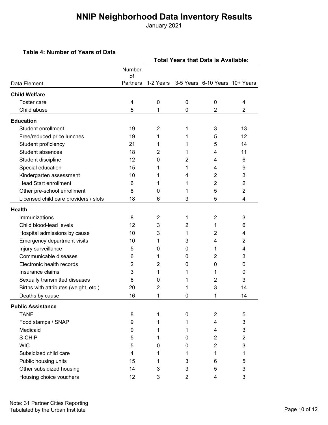January 2021

#### **Table 4: Number of Years of Data**

|                                       |              | <b>Total Years that Data is Available:</b> |                |                                |                |  |  |  |
|---------------------------------------|--------------|--------------------------------------------|----------------|--------------------------------|----------------|--|--|--|
|                                       | Number<br>of |                                            |                |                                |                |  |  |  |
| Data Element                          | Partners     | 1-2 Years                                  |                | 3-5 Years 6-10 Years 10+ Years |                |  |  |  |
| <b>Child Welfare</b>                  |              |                                            |                |                                |                |  |  |  |
| Foster care                           | 4            | $\mathbf 0$                                | 0              | $\mathbf{0}$                   | 4              |  |  |  |
| Child abuse                           | 5            | 1                                          | $\Omega$       | $\overline{2}$                 | $\overline{2}$ |  |  |  |
| <b>Education</b>                      |              |                                            |                |                                |                |  |  |  |
| Student enrollment                    | 19           | 2                                          | 1              | 3                              | 13             |  |  |  |
| Free/reduced price lunches            | 19           | 1                                          | 1              | 5                              | 12             |  |  |  |
| Student proficiency                   | 21           | 1                                          | 1              | 5                              | 14             |  |  |  |
| Student absences                      | 18           | 2                                          | 1              | 4                              | 11             |  |  |  |
| Student discipline                    | 12           | 0                                          | $\overline{2}$ | 4                              | 6              |  |  |  |
| Special education                     | 15           | 1                                          | 1              | 4                              | 9              |  |  |  |
| Kindergarten assessment               | 10           | 1                                          | 4              | $\overline{2}$                 | 3              |  |  |  |
| <b>Head Start enrollment</b>          | 6            | 1                                          | 1              | $\overline{2}$                 | 2              |  |  |  |
| Other pre-school enrollment           | 8            | 0                                          | 1              | 5                              | $\overline{2}$ |  |  |  |
| Licensed child care providers / slots | 18           | 6                                          | 3              | 5                              | 4              |  |  |  |
| <b>Health</b>                         |              |                                            |                |                                |                |  |  |  |
| Immunizations                         | 8            | $\overline{2}$                             | 1              | $\overline{2}$                 | 3              |  |  |  |
| Child blood-lead levels               | 12           | 3                                          | $\overline{2}$ | 1                              | 6              |  |  |  |
| Hospital admissions by cause          | 10           | 3                                          | 1              | 2                              | 4              |  |  |  |
| Emergency department visits           | 10           | 1                                          | 3              | 4                              | 2              |  |  |  |
| Injury surveillance                   | 5            | 0                                          | 0              | 1                              | 4              |  |  |  |
| Communicable diseases                 | 6            | 1                                          | 0              | 2                              | 3              |  |  |  |
| Electronic health records             | 2            | 2                                          | 0              | $\mathbf{0}$                   | 0              |  |  |  |
| Insurance claims                      | 3            | 1                                          | 1              | 1                              | 0              |  |  |  |
| Sexually transmitted diseases         | 6            | 0                                          | 1              | 2                              | 3              |  |  |  |
| Births with attributes (weight, etc.) | 20           | 2                                          | 1              | 3                              | 14             |  |  |  |
| Deaths by cause                       | 16           | 1                                          | 0              | 1                              | 14             |  |  |  |
| <b>Public Assistance</b>              |              |                                            |                |                                |                |  |  |  |
| <b>TANF</b>                           | 8            | 1                                          | 0              | $\overline{2}$                 | 5              |  |  |  |
| Food stamps / SNAP                    | 9            | 1                                          | 1              | 4                              | 3              |  |  |  |
| Medicaid                              | 9            | 1                                          | 1              | 4                              | 3              |  |  |  |
| S-CHIP                                | 5            | 1                                          | 0              | $\overline{2}$                 | 2              |  |  |  |
| <b>WIC</b>                            | 5            | 0                                          | 0              | $\overline{c}$                 | 3              |  |  |  |
| Subsidized child care                 | 4            | 1                                          | 1              | 1                              | 1              |  |  |  |
| Public housing units                  | 15           | 1                                          | 3              | 6                              | 5              |  |  |  |
| Other subsidized housing              | 14           | 3                                          | 3              | 5                              | 3              |  |  |  |
| Housing choice vouchers               | 12           | 3                                          | $\overline{2}$ | 4                              | 3              |  |  |  |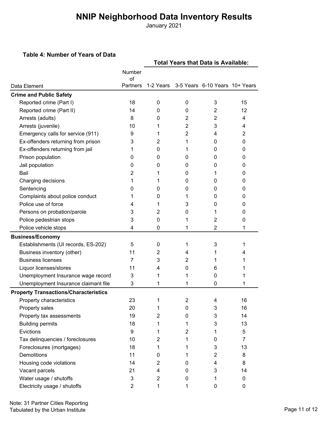January 2021

#### **Table 4: Number of Years of Data**

|                                              |                | <b>Total Years that Data is Available:</b> |                |                                |           |  |  |  |
|----------------------------------------------|----------------|--------------------------------------------|----------------|--------------------------------|-----------|--|--|--|
|                                              | Number         |                                            |                |                                |           |  |  |  |
| Data Element                                 | of<br>Partners | 1-2 Years                                  |                | 3-5 Years 6-10 Years 10+ Years |           |  |  |  |
| <b>Crime and Public Safety</b>               |                |                                            |                |                                |           |  |  |  |
| Reported crime (Part I)                      | 18             | 0                                          | 0              | 3                              | 15        |  |  |  |
| Reported crime (Part II)                     | 14             | 0                                          | 0              | 2                              | 12        |  |  |  |
| Arrests (adults)                             | 8              | 0                                          | 2              | 2                              | 4         |  |  |  |
| Arrests (juvenile)                           | 10             | 1                                          | 2              | 3                              | 4         |  |  |  |
| Emergency calls for service (911)            | 9              | 1                                          | 2              | 4                              | 2         |  |  |  |
| Ex-offenders returning from prison           | 3              | 2                                          | 1              | 0                              | 0         |  |  |  |
| Ex-offenders returning from jail             | 1              | 0                                          | 1              | 0                              | 0         |  |  |  |
| Prison population                            | 0              | 0                                          | 0              | 0                              | 0         |  |  |  |
| Jail population                              | 0              | 0                                          | 0              | 0                              | 0         |  |  |  |
| Bail                                         | 2              | 1                                          | 0              | 1                              | 0         |  |  |  |
| Charging decisions                           | 1              | 1                                          | 0              | 0                              | 0         |  |  |  |
| Sentencing                                   | 0              | 0                                          | 0              | 0                              | 0         |  |  |  |
| Complaints about police conduct              | 1              | 0                                          | 1              | 0                              | 0         |  |  |  |
| Police use of force                          | 4              | 1                                          | 3              | 0                              | 0         |  |  |  |
| Persons on probation/parole                  | 3              | 2                                          | 0              | 1                              | 0         |  |  |  |
| Police pedestrian stops                      | 3              | 0                                          | 1              | 2                              | 0         |  |  |  |
| Police vehicle stops                         | 4              | 0                                          | 1              | $\overline{2}$                 | 1         |  |  |  |
| <b>Business/Economy</b>                      |                |                                            |                |                                |           |  |  |  |
| Establishments (UI records, ES-202)          | 5              | 0                                          | 1              | 3                              | 1         |  |  |  |
| Business inventory (other)                   | 11             | $\overline{2}$                             | 4              | 1                              | 4         |  |  |  |
| <b>Business licenses</b>                     | 7              | 3                                          | 2              | 1                              |           |  |  |  |
| Liquor licenses/stores                       | 11             | 4                                          | 0              | 6                              | 1         |  |  |  |
| Unemployment Insurance wage record           | 3              | 1                                          | 1              | 0                              | 1         |  |  |  |
| Unemployment Insurance claimant file         | 3              | 1                                          | 1              | 0                              | 1         |  |  |  |
| <b>Property Transactions/Characteristics</b> |                |                                            |                |                                |           |  |  |  |
| Property characteristics                     | 23             |                                            | 2              |                                | 16        |  |  |  |
| Property sales                               | 20             | 1                                          | 0              | 3                              | 16        |  |  |  |
| Property tax assessments                     | 19             | $\overline{2}$                             | 0              | 3                              | 14        |  |  |  |
| <b>Building permits</b>                      | 18             | 1                                          | 1              | 3                              | 13        |  |  |  |
| Evictions                                    | 9              | 1                                          | $\overline{c}$ | 1                              | 5         |  |  |  |
| Tax delinquencies / foreclosures             | 10             | $\overline{2}$                             | 1              | 0                              | 7         |  |  |  |
| Foreclosures (mortgages)                     | 18             | 1                                          | 1              | 3                              | 13        |  |  |  |
| Demolitions                                  | 11             | 0                                          | 1              | 2                              | 8         |  |  |  |
| Housing code violations                      | 14             | $\overline{2}$                             | 0              | 4                              | 8         |  |  |  |
| Vacant parcels                               | 21             | 4                                          | 0              | 3                              | 14        |  |  |  |
| Water usage / shutoffs                       | 3              | $\overline{2}$                             | 0              | 1                              | 0         |  |  |  |
| Electricity usage / shutoffs                 | $\overline{2}$ | 1                                          | 1              | 0                              | $\pmb{0}$ |  |  |  |